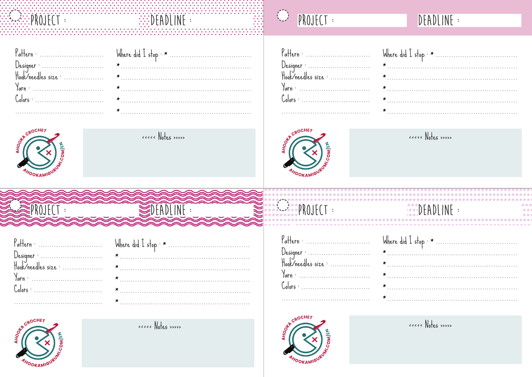# E MOJECT

| Pattern : |  |
|-----------|--|
|           |  |
|           |  |
|           |  |
|           |  |
|           |  |



ecccc Notes >>>>>

**EXAMPLINE** 

#### $\bigodot$ PROJECT :

### DEADLINE :



ecccc Notes >>>>>

| <u>TATA KABAGALAN YAKA MARAKATA KAT</u> |                        |  |
|-----------------------------------------|------------------------|--|
| <b>SPROJECT</b>                         | $\leqslant$ DEADLINE : |  |
| <u>SASASASASASASASASASASASAS</u>        |                        |  |



ecccc Notes >>>>>

# $F^{***}$ PROJECT :

Pattern : ..............................

Designer : ............................<br>Hook/needles size : ..................

## DEADLINE :



 $\mathcal{C}_\mathsf{olors}:$  ..................

ecccc Notes >>>>>